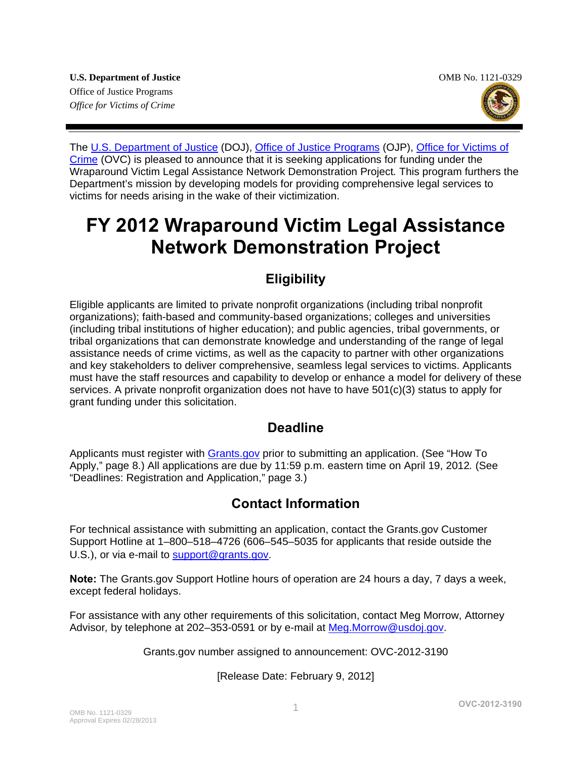

The [U.S. Department of Justice](http://www.usdoj.gov/) (DOJ), [Office of Justice Programs](http://www.ojp.gov/flash.htm) (OJP), Office for Victims of [Crime](http://www.ovc.gov/) (OVC) is pleased to announce that it is seeking applications for funding under the Wraparound Victim Legal Assistance Network Demonstration Project*.* This program furthers the Department's mission by developing models for providing comprehensive legal services to victims for needs arising in the wake of their victimization.

# **FY 2012 Wraparound Victim Legal Assistance Network Demonstration Project**

# **Eligibility**

Eligible applicants are limited to private nonprofit organizations (including tribal nonprofit organizations); faith-based and community-based organizations; colleges and universities (including tribal institutions of higher education); and public agencies, tribal governments, or tribal organizations that can demonstrate knowledge and understanding of the range of legal assistance needs of crime victims, as well as the capacity to partner with other organizations and key stakeholders to deliver comprehensive, seamless legal services to victims. Applicants must have the staff resources and capability to develop or enhance a model for delivery of these services. A private nonprofit organization does not have to have 501(c)(3) status to apply for grant funding under this solicitation.

# **Deadline**

Applicants must register with **[Grants.gov](http://www.grants.gov/)** prior to submitting an application. (See "How To Apply," page 8.) All applications are due by 11:59 p.m. eastern time on April 19, 2012*.* (See "Deadlines: Registration and Application," page 3*.*)

### **Contact Information**

For technical assistance with submitting an application, contact the Grants.gov Customer Support Hotline at 1–800–518–4726 (606–545–5035 for applicants that reside outside the U.S.), or via e-mail t[o support@grants.gov](mailto:support@grants.gov).

**Note:** The Grants.gov Support Hotline hours of operation are 24 hours a day, 7 days a week, except federal holidays.

For assistance with any other requirements of this solicitation, contact Meg Morrow, Attorney Advisor*,* by telephone at 202–353-0591 or by e-mail at [Meg.Morrow@usdoj.gov](mailto:Meg.Morrow@usdoj.gov).

Grants.gov number assigned to announcement: OVC-2012-3190

[Release Date: February 9, 2012]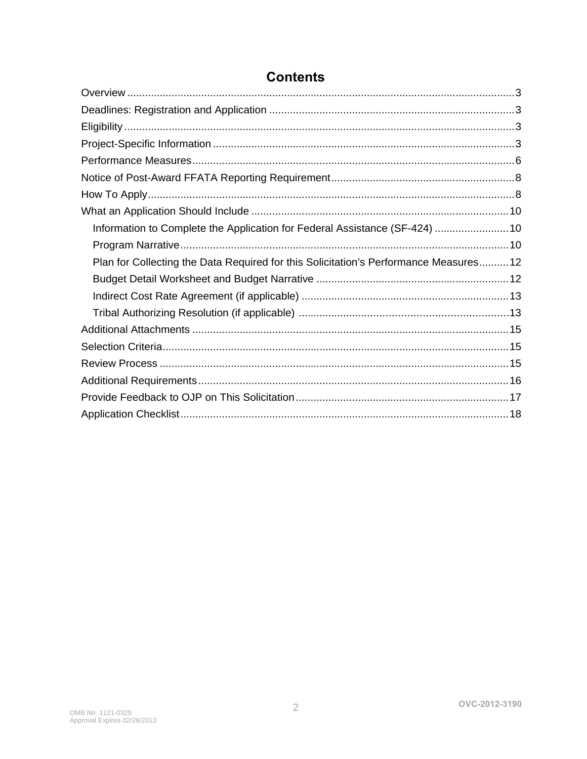| Information to Complete the Application for Federal Assistance (SF-424) 10           |
|--------------------------------------------------------------------------------------|
|                                                                                      |
| Plan for Collecting the Data Required for this Solicitation's Performance Measures12 |
|                                                                                      |
|                                                                                      |
|                                                                                      |
|                                                                                      |
|                                                                                      |
|                                                                                      |
|                                                                                      |
|                                                                                      |
|                                                                                      |

# **Contents**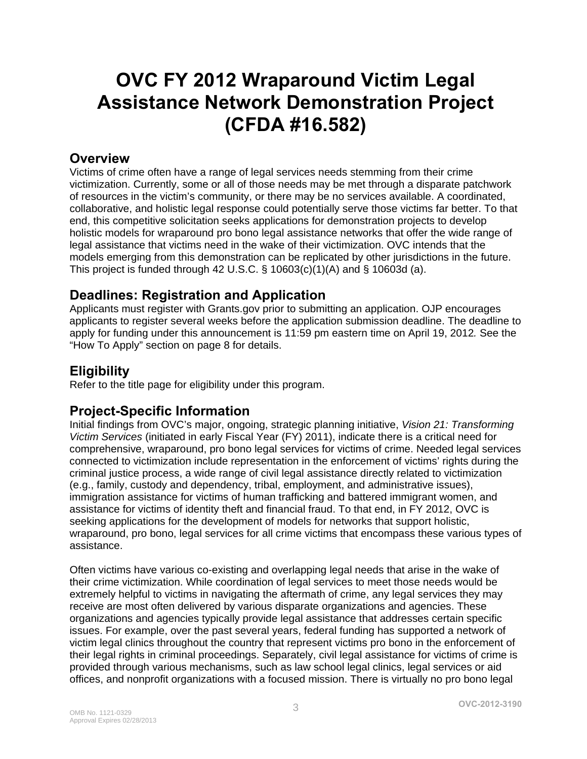# **OVC FY 2012 Wraparound Victim Legal Assistance Network Demonstration Project (CFDA #16.582)**

### <span id="page-2-0"></span>**Overview**

Victims of crime often have a range of legal services needs stemming from their crime victimization. Currently, some or all of those needs may be met through a disparate patchwork of resources in the victim's community, or there may be no services available. A coordinated, collaborative, and holistic legal response could potentially serve those victims far better. To that end, this competitive solicitation seeks applications for demonstration projects to develop holistic models for wraparound pro bono legal assistance networks that offer the wide range of legal assistance that victims need in the wake of their victimization. OVC intends that the models emerging from this demonstration can be replicated by other jurisdictions in the future. This project is funded through 42 U.S.C.  $\S$  10603(c)(1)(A) and  $\S$  10603d (a).

### <span id="page-2-1"></span>**Deadlines: Registration and Application**

Applicants must register with Grants.gov prior to submitting an application. OJP encourages applicants to register several weeks before the application submission deadline. The deadline to apply for funding under this announcement is 11:59 pm eastern time on April 19, 2012*.* See the "How To Apply" section on page 8 for details.

### <span id="page-2-2"></span>**Eligibility**

Refer to the title page for eligibility under this program.

### <span id="page-2-3"></span>**Project-Specific Information**

Initial findings from OVC's major, ongoing, strategic planning initiative, *Vision 21: Transforming Victim Services* (initiated in early Fiscal Year (FY) 2011), indicate there is a critical need for comprehensive, wraparound, pro bono legal services for victims of crime. Needed legal services connected to victimization include representation in the enforcement of victims' rights during the criminal justice process, a wide range of civil legal assistance directly related to victimization (e.g., family, custody and dependency, tribal, employment, and administrative issues), immigration assistance for victims of human trafficking and battered immigrant women, and assistance for victims of identity theft and financial fraud. To that end, in FY 2012, OVC is seeking applications for the development of models for networks that support holistic, wraparound, pro bono, legal services for all crime victims that encompass these various types of assistance.

Often victims have various co-existing and overlapping legal needs that arise in the wake of their crime victimization. While coordination of legal services to meet those needs would be extremely helpful to victims in navigating the aftermath of crime, any legal services they may receive are most often delivered by various disparate organizations and agencies. These organizations and agencies typically provide legal assistance that addresses certain specific issues. For example, over the past several years, federal funding has supported a network of victim legal clinics throughout the country that represent victims pro bono in the enforcement of their legal rights in criminal proceedings. Separately, civil legal assistance for victims of crime is provided through various mechanisms, such as law school legal clinics, legal services or aid offices, and nonprofit organizations with a focused mission. There is virtually no pro bono legal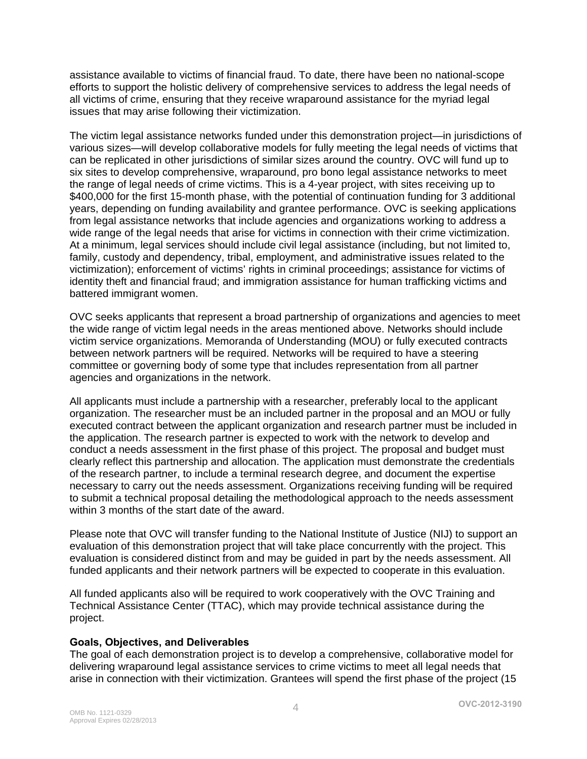assistance available to victims of financial fraud. To date, there have been no national-scope efforts to support the holistic delivery of comprehensive services to address the legal needs of all victims of crime, ensuring that they receive wraparound assistance for the myriad legal issues that may arise following their victimization.

The victim legal assistance networks funded under this demonstration project—in jurisdictions of various sizes—will develop collaborative models for fully meeting the legal needs of victims that can be replicated in other jurisdictions of similar sizes around the country. OVC will fund up to six sites to develop comprehensive, wraparound, pro bono legal assistance networks to meet the range of legal needs of crime victims. This is a 4-year project, with sites receiving up to \$400,000 for the first 15-month phase, with the potential of continuation funding for 3 additional years, depending on funding availability and grantee performance. OVC is seeking applications from legal assistance networks that include agencies and organizations working to address a wide range of the legal needs that arise for victims in connection with their crime victimization. At a minimum, legal services should include civil legal assistance (including, but not limited to, family, custody and dependency, tribal, employment, and administrative issues related to the victimization); enforcement of victims' rights in criminal proceedings; assistance for victims of identity theft and financial fraud; and immigration assistance for human trafficking victims and battered immigrant women.

OVC seeks applicants that represent a broad partnership of organizations and agencies to meet the wide range of victim legal needs in the areas mentioned above. Networks should include victim service organizations. Memoranda of Understanding (MOU) or fully executed contracts between network partners will be required. Networks will be required to have a steering committee or governing body of some type that includes representation from all partner agencies and organizations in the network.

All applicants must include a partnership with a researcher, preferably local to the applicant organization. The researcher must be an included partner in the proposal and an MOU or fully executed contract between the applicant organization and research partner must be included in the application. The research partner is expected to work with the network to develop and conduct a needs assessment in the first phase of this project. The proposal and budget must clearly reflect this partnership and allocation. The application must demonstrate the credentials of the research partner, to include a terminal research degree, and document the expertise necessary to carry out the needs assessment. Organizations receiving funding will be required to submit a technical proposal detailing the methodological approach to the needs assessment within 3 months of the start date of the award.

Please note that OVC will transfer funding to the National Institute of Justice (NIJ) to support an evaluation of this demonstration project that will take place concurrently with the project. This evaluation is considered distinct from and may be guided in part by the needs assessment. All funded applicants and their network partners will be expected to cooperate in this evaluation.

All funded applicants also will be required to work cooperatively with the OVC Training and Technical Assistance Center (TTAC), which may provide technical assistance during the project.

#### **Goals, Objectives, and Deliverables**

The goal of each demonstration project is to develop a comprehensive, collaborative model for delivering wraparound legal assistance services to crime victims to meet all legal needs that arise in connection with their victimization. Grantees will spend the first phase of the project (15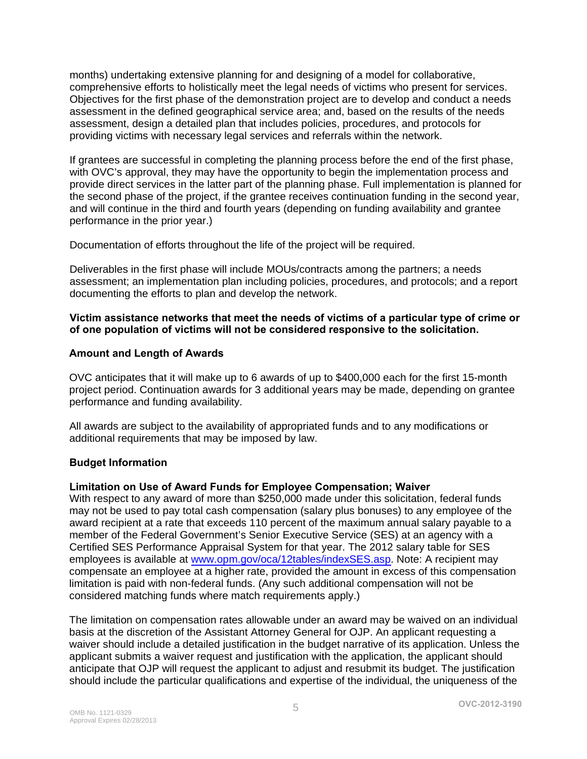months) undertaking extensive planning for and designing of a model for collaborative, comprehensive efforts to holistically meet the legal needs of victims who present for services. Objectives for the first phase of the demonstration project are to develop and conduct a needs assessment in the defined geographical service area; and, based on the results of the needs assessment, design a detailed plan that includes policies, procedures, and protocols for providing victims with necessary legal services and referrals within the network.

If grantees are successful in completing the planning process before the end of the first phase, with OVC's approval, they may have the opportunity to begin the implementation process and provide direct services in the latter part of the planning phase. Full implementation is planned for the second phase of the project, if the grantee receives continuation funding in the second year, and will continue in the third and fourth years (depending on funding availability and grantee performance in the prior year.)

Documentation of efforts throughout the life of the project will be required.

Deliverables in the first phase will include MOUs/contracts among the partners; a needs assessment; an implementation plan including policies, procedures, and protocols; and a report documenting the efforts to plan and develop the network.

#### **Victim assistance networks that meet the needs of victims of a particular type of crime or of one population of victims will not be considered responsive to the solicitation.**

#### **Amount and Length of Awards**

OVC anticipates that it will make up to 6 awards of up to \$400,000 each for the first 15-month project period. Continuation awards for 3 additional years may be made, depending on grantee performance and funding availability.

All awards are subject to the availability of appropriated funds and to any modifications or additional requirements that may be imposed by law.

#### **Budget Information**

#### **Limitation on Use of Award Funds for Employee Compensation; Waiver**

With respect to any award of more than \$250,000 made under this solicitation, federal funds may not be used to pay total cash compensation (salary plus bonuses) to any employee of the award recipient at a rate that exceeds 110 percent of the maximum annual salary payable to a member of the Federal Government's Senior Executive Service (SES) at an agency with a Certified SES Performance Appraisal System for that year. The 2012 salary table for SES employees is available a[t www.opm.gov/oca/12tables/indexSES.asp](http://www.opm.gov/oca/12tables/indexSES.asp). Note: A recipient may compensate an employee at a higher rate, provided the amount in excess of this compensation limitation is paid with non-federal funds. (Any such additional compensation will not be considered matching funds where match requirements apply.)

The limitation on compensation rates allowable under an award may be waived on an individual basis at the discretion of the Assistant Attorney General for OJP. An applicant requesting a waiver should include a detailed justification in the budget narrative of its application. Unless the applicant submits a waiver request and justification with the application, the applicant should anticipate that OJP will request the applicant to adjust and resubmit its budget. The justification should include the particular qualifications and expertise of the individual, the uniqueness of the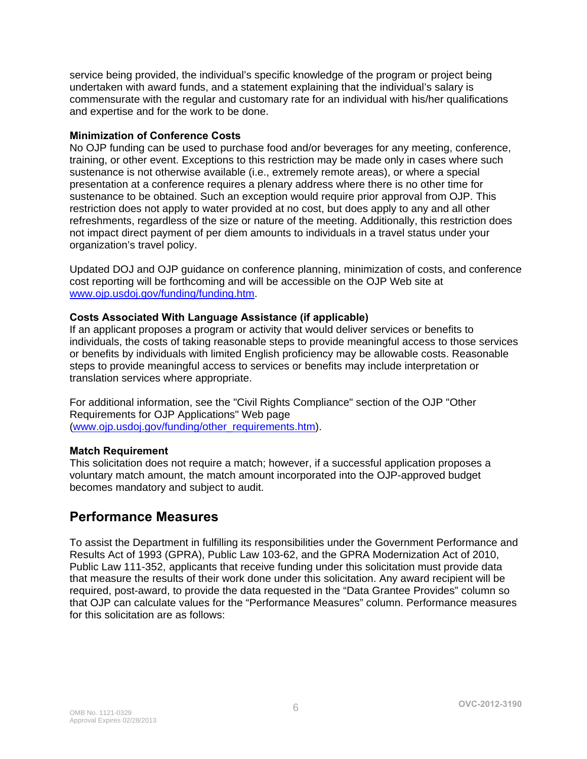service being provided, the individual's specific knowledge of the program or project being undertaken with award funds, and a statement explaining that the individual's salary is commensurate with the regular and customary rate for an individual with his/her qualifications and expertise and for the work to be done.

#### **Minimization of Conference Costs**

No OJP funding can be used to purchase food and/or beverages for any meeting, conference, training, or other event. Exceptions to this restriction may be made only in cases where such sustenance is not otherwise available (i.e., extremely remote areas), or where a special presentation at a conference requires a plenary address where there is no other time for sustenance to be obtained. Such an exception would require prior approval from OJP. This restriction does not apply to water provided at no cost, but does apply to any and all other refreshments, regardless of the size or nature of the meeting. Additionally, this restriction does not impact direct payment of per diem amounts to individuals in a travel status under your organization's travel policy.

Updated DOJ and OJP guidance on conference planning, minimization of costs, and conference cost reporting will be forthcoming and will be accessible on the OJP Web site at [www.ojp.usdoj.gov/funding/funding.htm.](http://www.ojp.usdoj.gov/funding/funding.htm)

#### **Costs Associated With Language Assistance (if applicable)**

If an applicant proposes a program or activity that would deliver services or benefits to individuals, the costs of taking reasonable steps to provide meaningful access to those services or benefits by individuals with limited English proficiency may be allowable costs. Reasonable steps to provide meaningful access to services or benefits may include interpretation or translation services where appropriate.

For additional information, see the "Civil Rights Compliance" section of the OJP "Other Requirements for OJP Applications" Web page [\(www.ojp.usdoj.gov/funding/other\\_requirements.htm](http://www.ojp.usdoj.gov/funding/other_requirements.htm)).

#### **Match Requirement**

This solicitation does not require a match; however, if a successful application proposes a voluntary match amount, the match amount incorporated into the OJP-approved budget becomes mandatory and subject to audit.

### <span id="page-5-0"></span>**Performance Measures**

To assist the Department in fulfilling its responsibilities under the Government Performance and Results Act of 1993 (GPRA), Public Law 103-62, and the GPRA Modernization Act of 2010, Public Law 111-352, applicants that receive funding under this solicitation must provide data that measure the results of their work done under this solicitation. Any award recipient will be required, post-award, to provide the data requested in the "Data Grantee Provides" column so that OJP can calculate values for the "Performance Measures" column. Performance measures for this solicitation are as follows: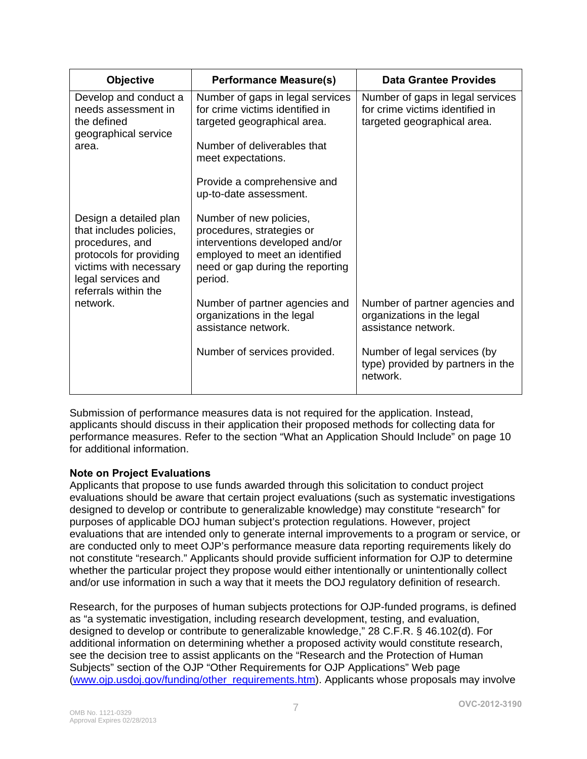| <b>Objective</b>                                                                                                                                                        | <b>Performance Measure(s)</b>                                                                                                                                           | Data Grantee Provides                                                                              |
|-------------------------------------------------------------------------------------------------------------------------------------------------------------------------|-------------------------------------------------------------------------------------------------------------------------------------------------------------------------|----------------------------------------------------------------------------------------------------|
| Develop and conduct a<br>needs assessment in<br>the defined<br>geographical service<br>area.                                                                            | Number of gaps in legal services<br>for crime victims identified in<br>targeted geographical area.                                                                      | Number of gaps in legal services<br>for crime victims identified in<br>targeted geographical area. |
|                                                                                                                                                                         | Number of deliverables that<br>meet expectations.                                                                                                                       |                                                                                                    |
|                                                                                                                                                                         | Provide a comprehensive and<br>up-to-date assessment.                                                                                                                   |                                                                                                    |
| Design a detailed plan<br>that includes policies,<br>procedures, and<br>protocols for providing<br>victims with necessary<br>legal services and<br>referrals within the | Number of new policies,<br>procedures, strategies or<br>interventions developed and/or<br>employed to meet an identified<br>need or gap during the reporting<br>period. |                                                                                                    |
| network.                                                                                                                                                                | Number of partner agencies and<br>organizations in the legal<br>assistance network.                                                                                     | Number of partner agencies and<br>organizations in the legal<br>assistance network.                |
|                                                                                                                                                                         | Number of services provided.                                                                                                                                            | Number of legal services (by<br>type) provided by partners in the<br>network.                      |

Submission of performance measures data is not required for the application. Instead, applicants should discuss in their application their proposed methods for collecting data for performance measures. Refer to the section "What an Application Should Include" on page 10 for additional information.

#### **Note on Project Evaluations**

Applicants that propose to use funds awarded through this solicitation to conduct project evaluations should be aware that certain project evaluations (such as systematic investigations designed to develop or contribute to generalizable knowledge) may constitute "research" for purposes of applicable DOJ human subject's protection regulations. However, project evaluations that are intended only to generate internal improvements to a program or service, or are conducted only to meet OJP's performance measure data reporting requirements likely do not constitute "research." Applicants should provide sufficient information for OJP to determine whether the particular project they propose would either intentionally or unintentionally collect and/or use information in such a way that it meets the DOJ regulatory definition of research.

Research, for the purposes of human subjects protections for OJP-funded programs, is defined as "a systematic investigation, including research development, testing, and evaluation, designed to develop or contribute to generalizable knowledge," 28 C.F.R. § 46.102(d). For additional information on determining whether a proposed activity would constitute research, see the decision tree to assist applicants on the "Research and the Protection of Human Subjects" section of the OJP "Other Requirements for OJP Applications" Web page [\(www.ojp.usdoj.gov/funding/other\\_requirements.htm](http://www.ojp.usdoj.gov/funding/other_requirements.htm)). Applicants whose proposals may involve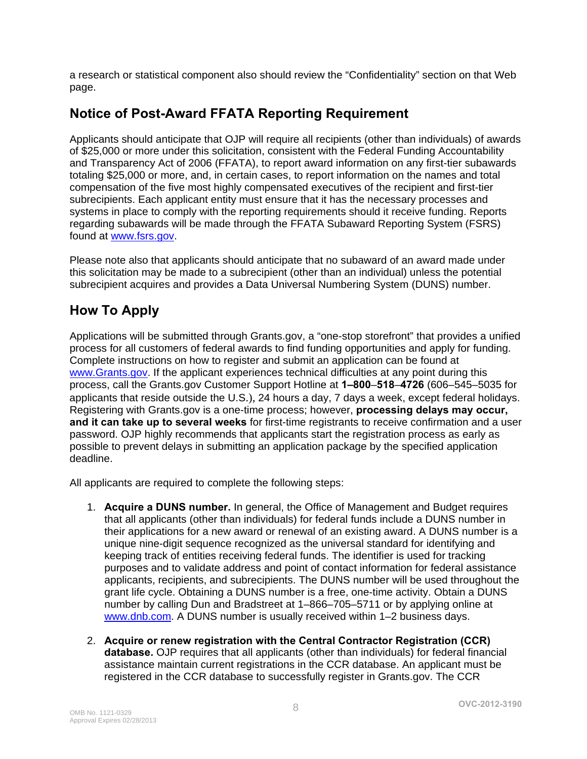a research or statistical component also should review the "Confidentiality" section on that Web page.

# <span id="page-7-0"></span>**Notice of Post-Award FFATA Reporting Requirement**

Applicants should anticipate that OJP will require all recipients (other than individuals) of awards of \$25,000 or more under this solicitation, consistent with the Federal Funding Accountability and Transparency Act of 2006 (FFATA), to report award information on any first-tier subawards totaling \$25,000 or more, and, in certain cases, to report information on the names and total compensation of the five most highly compensated executives of the recipient and first-tier subrecipients. Each applicant entity must ensure that it has the necessary processes and systems in place to comply with the reporting requirements should it receive funding. Reports regarding subawards will be made through the FFATA Subaward Reporting System (FSRS) found at [www.fsrs.gov.](https://www.fsrs.gov/)

Please note also that applicants should anticipate that no subaward of an award made under this solicitation may be made to a subrecipient (other than an individual) unless the potential subrecipient acquires and provides a Data Universal Numbering System (DUNS) number.

# <span id="page-7-1"></span>**How To Apply**

Applications will be submitted through Grants.gov, a "one-stop storefront" that provides a unified process for all customers of federal awards to find funding opportunities and apply for funding. Complete instructions on how to register and submit an application can be found at [www.Grants.gov.](http://www.grants.gov/) If the applicant experiences technical difficulties at any point during this process, call the Grants.gov Customer Support Hotline at **1–800**–**518**–**4726** (606–545–5035 for applicants that reside outside the U.S.), 24 hours a day, 7 days a week, except federal holidays. Registering with Grants.gov is a one-time process; however, **processing delays may occur, and it can take up to several weeks** for first-time registrants to receive confirmation and a user password. OJP highly recommends that applicants start the registration process as early as possible to prevent delays in submitting an application package by the specified application deadline.

All applicants are required to complete the following steps:

- 1. **Acquire a DUNS number.** In general, the Office of Management and Budget requires that all applicants (other than individuals) for federal funds include a DUNS number in their applications for a new award or renewal of an existing award. A DUNS number is a unique nine-digit sequence recognized as the universal standard for identifying and keeping track of entities receiving federal funds. The identifier is used for tracking purposes and to validate address and point of contact information for federal assistance applicants, recipients, and subrecipients. The DUNS number will be used throughout the grant life cycle. Obtaining a DUNS number is a free, one-time activity. Obtain a DUNS number by calling Dun and Bradstreet at 1–866–705–5711 or by applying online at [www.dnb.com.](http://www.dnb.com/) A DUNS number is usually received within 1-2 business days.
- 2. **Acquire or renew registration with the Central Contractor Registration (CCR) database.** OJP requires that all applicants (other than individuals) for federal financial assistance maintain current registrations in the CCR database. An applicant must be registered in the CCR database to successfully register in Grants.gov. The CCR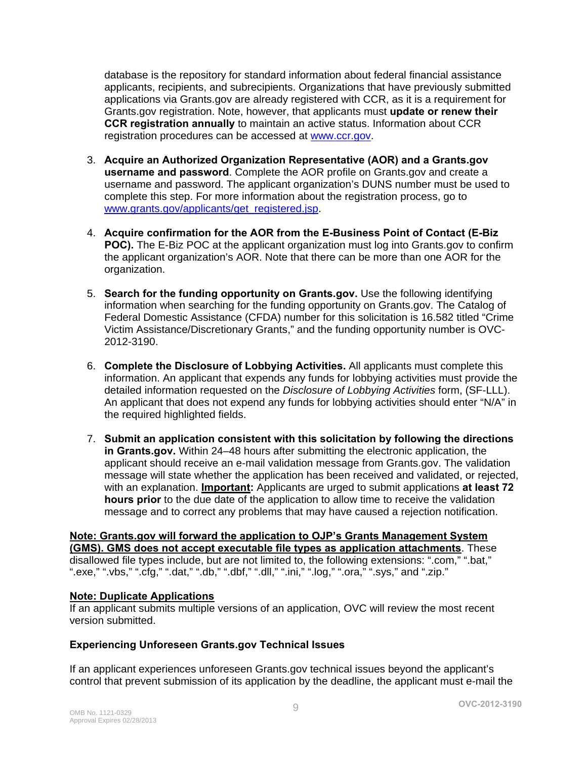database is the repository for standard information about federal financial assistance applicants, recipients, and subrecipients. Organizations that have previously submitted applications via Grants.gov are already registered with CCR, as it is a requirement for Grants.gov registration. Note, however, that applicants must **update or renew their CCR registration annually** to maintain an active status. Information about CCR registration procedures can be accessed a[t www.ccr.gov](http://www.ccr.gov/).

- 3. **Acquire an Authorized Organization Representative (AOR) and a Grants.gov username and password**. Complete the AOR profile on Grants.gov and create a username and password. The applicant organization's DUNS number must be used to complete this step. For more information about the registration process, go to [www.grants.gov/applicants/get\\_registered.jsp](http://www.grants.gov/applicants/get_registered.jsp).
- 4. **Acquire confirmation for the AOR from the E-Business Point of Contact (E-Biz POC).** The E-Biz POC at the applicant organization must log into Grants.gov to confirm the applicant organization's AOR. Note that there can be more than one AOR for the organization.
- 5. **Search for the funding opportunity on Grants.gov.** Use the following identifying information when searching for the funding opportunity on Grants.gov. The Catalog of Federal Domestic Assistance (CFDA) number for this solicitation is 16.582 titled "Crime Victim Assistance/Discretionary Grants," and the funding opportunity number is OVC-2012-3190.
- 6. **Complete the Disclosure of Lobbying Activities.** All applicants must complete this information. An applicant that expends any funds for lobbying activities must provide the detailed information requested on the *Disclosure of Lobbying Activities* form, (SF-LLL). An applicant that does not expend any funds for lobbying activities should enter "N/A" in the required highlighted fields.
- 7. **Submit an application consistent with this solicitation by following the directions in Grants.gov.** Within 24–48 hours after submitting the electronic application, the applicant should receive an e-mail validation message from Grants.gov. The validation message will state whether the application has been received and validated, or rejected, with an explanation. **Important:** Applicants are urged to submit applications **at least 72 hours prior** to the due date of the application to allow time to receive the validation message and to correct any problems that may have caused a rejection notification.

#### **Note: Grants.gov will forward the application to OJP's Grants Management System (GMS). GMS does not accept executable file types as application attachments**. These disallowed file types include, but are not limited to, the following extensions: ".com," ".bat," ".exe," ".vbs," ".cfg," ".dat," ".db," ".dbf," ".dll," ".ini," ".log," ".ora," ".sys," and ".zip."

#### **Note: Duplicate Applications**

If an applicant submits multiple versions of an application, OVC will review the most recent version submitted.

#### **Experiencing Unforeseen Grants.gov Technical Issues**

If an applicant experiences unforeseen Grants.gov technical issues beyond the applicant's control that prevent submission of its application by the deadline, the applicant must e-mail the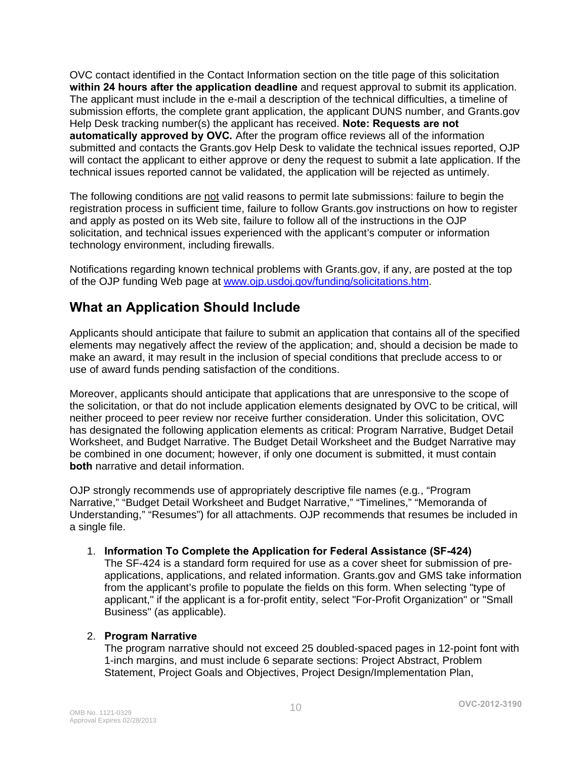OVC contact identified in the Contact Information section on the title page of this solicitation **within 24 hours after the application deadline** and request approval to submit its application. The applicant must include in the e-mail a description of the technical difficulties, a timeline of submission efforts, the complete grant application, the applicant DUNS number, and Grants.gov Help Desk tracking number(s) the applicant has received. **Note: Requests are not automatically approved by OVC***.* After the program office reviews all of the information submitted and contacts the Grants.gov Help Desk to validate the technical issues reported, OJP will contact the applicant to either approve or deny the request to submit a late application. If the technical issues reported cannot be validated, the application will be rejected as untimely.

The following conditions are not valid reasons to permit late submissions: failure to begin the registration process in sufficient time, failure to follow Grants.gov instructions on how to register and apply as posted on its Web site, failure to follow all of the instructions in the OJP solicitation, and technical issues experienced with the applicant's computer or information technology environment, including firewalls.

Notifications regarding known technical problems with Grants.gov, if any, are posted at the top of the OJP funding Web page at [www.ojp.usdoj.gov/funding/solicitations.htm](http://www.ojp.gov/funding/solicitations.htm).

# <span id="page-9-0"></span>**What an Application Should Include**

Applicants should anticipate that failure to submit an application that contains all of the specified elements may negatively affect the review of the application; and, should a decision be made to make an award, it may result in the inclusion of special conditions that preclude access to or use of award funds pending satisfaction of the conditions.

Moreover, applicants should anticipate that applications that are unresponsive to the scope of the solicitation, or that do not include application elements designated by OVC to be critical, will neither proceed to peer review nor receive further consideration. Under this solicitation, OVC has designated the following application elements as critical: Program Narrative, Budget Detail Worksheet, and Budget Narrative. The Budget Detail Worksheet and the Budget Narrative may be combined in one document; however, if only one document is submitted, it must contain **both** narrative and detail information.

OJP strongly recommends use of appropriately descriptive file names (e.g*.*, "Program Narrative," "Budget Detail Worksheet and Budget Narrative," "Timelines," "Memoranda of Understanding," "Resumes") for all attachments. OJP recommends that resumes be included in a single file.

#### <span id="page-9-1"></span>1. **Information To Complete the Application for Federal Assistance (SF-424)**

The SF-424 is a standard form required for use as a cover sheet for submission of preapplications, applications, and related information. Grants.gov and GMS take information from the applicant's profile to populate the fields on this form. When selecting "type of applicant," if the applicant is a for-profit entity, select "For-Profit Organization" or "Small Business" (as applicable).

#### <span id="page-9-2"></span>2. **Program Narrative**

The program narrative should not exceed 25 doubled-spaced pages in 12-point font with 1-inch margins, and must include 6 separate sections: Project Abstract, Problem Statement, Project Goals and Objectives, Project Design/Implementation Plan,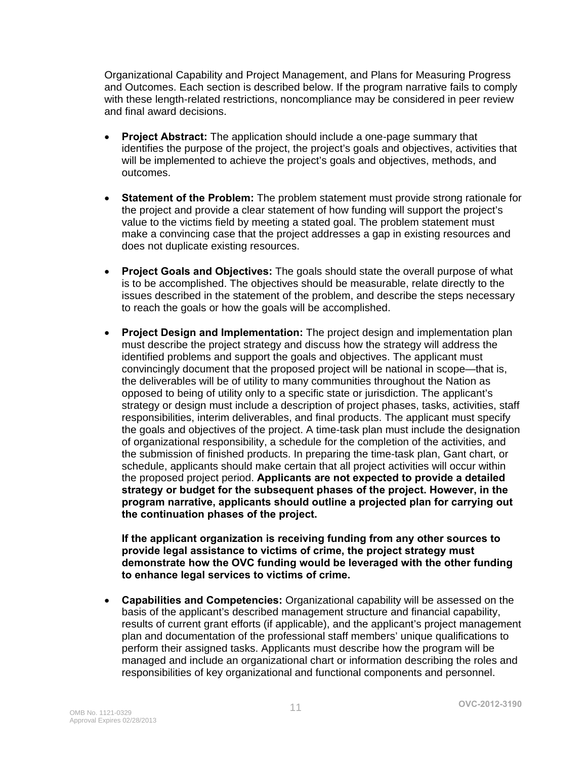Organizational Capability and Project Management, and Plans for Measuring Progress and Outcomes. Each section is described below. If the program narrative fails to comply with these length-related restrictions, noncompliance may be considered in peer review and final award decisions.

- **Project Abstract:** The application should include a one-page summary that identifies the purpose of the project, the project's goals and objectives, activities that will be implemented to achieve the project's goals and objectives, methods, and outcomes.
- **Statement of the Problem:** The problem statement must provide strong rationale for the project and provide a clear statement of how funding will support the project's value to the victims field by meeting a stated goal. The problem statement must make a convincing case that the project addresses a gap in existing resources and does not duplicate existing resources.
- **Project Goals and Objectives:** The goals should state the overall purpose of what is to be accomplished. The objectives should be measurable, relate directly to the issues described in the statement of the problem, and describe the steps necessary to reach the goals or how the goals will be accomplished.
- **Project Design and Implementation:** The project design and implementation plan must describe the project strategy and discuss how the strategy will address the identified problems and support the goals and objectives. The applicant must convincingly document that the proposed project will be national in scope—that is, the deliverables will be of utility to many communities throughout the Nation as opposed to being of utility only to a specific state or jurisdiction. The applicant's strategy or design must include a description of project phases, tasks, activities, staff responsibilities, interim deliverables, and final products. The applicant must specify the goals and objectives of the project. A time-task plan must include the designation of organizational responsibility, a schedule for the completion of the activities, and the submission of finished products. In preparing the time-task plan, Gant chart, or schedule, applicants should make certain that all project activities will occur within the proposed project period. **Applicants are not expected to provide a detailed strategy or budget for the subsequent phases of the project. However, in the program narrative, applicants should outline a projected plan for carrying out the continuation phases of the project.**

**If the applicant organization is receiving funding from any other sources to provide legal assistance to victims of crime, the project strategy must demonstrate how the OVC funding would be leveraged with the other funding to enhance legal services to victims of crime.**

• **Capabilities and Competencies:** Organizational capability will be assessed on the basis of the applicant's described management structure and financial capability, results of current grant efforts (if applicable), and the applicant's project management plan and documentation of the professional staff members' unique qualifications to perform their assigned tasks. Applicants must describe how the program will be managed and include an organizational chart or information describing the roles and responsibilities of key organizational and functional components and personnel.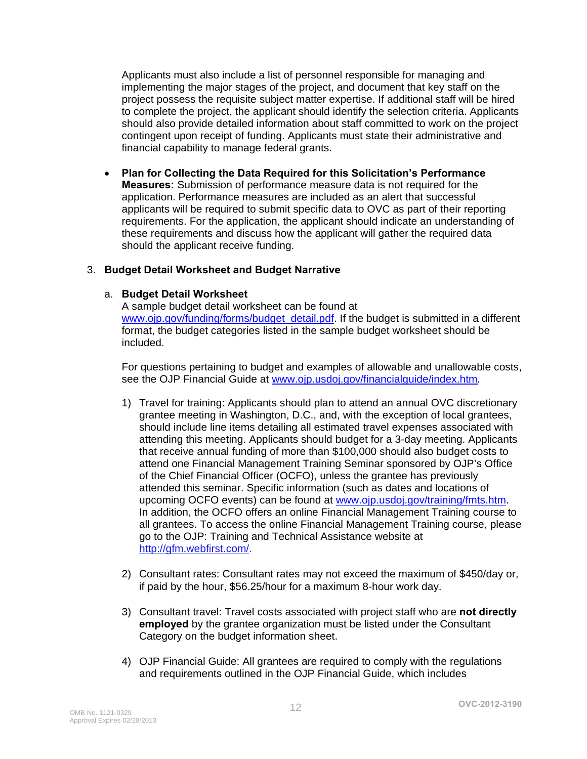Applicants must also include a list of personnel responsible for managing and implementing the major stages of the project, and document that key staff on the project possess the requisite subject matter expertise. If additional staff will be hired to complete the project, the applicant should identify the selection criteria. Applicants should also provide detailed information about staff committed to work on the project contingent upon receipt of funding. Applicants must state their administrative and financial capability to manage federal grants.

• **Plan for Collecting the Data Required for this Solicitation's Performance Measures:** Submission of performance measure data is not required for the application. Performance measures are included as an alert that successful applicants will be required to submit specific data to OVC as part of their reporting requirements. For the application, the applicant should indicate an understanding of these requirements and discuss how the applicant will gather the required data should the applicant receive funding.

#### <span id="page-11-0"></span>3. **Budget Detail Worksheet and Budget Narrative**

#### a. **Budget Detail Worksheet**

A sample budget detail worksheet can be found at www.oip.gov/funding/forms/budget\_detail.pdf. If the budget is submitted in a different format, the budget categories listed in the sample budget worksheet should be included.

For questions pertaining to budget and examples of allowable and unallowable costs, see the OJP Financial Guide a[t www.ojp.usdoj.gov/financialguide/index.htm](http://www.ojp.usdoj.gov/financialguide/index.htm)*.*

- 1) Travel for training: Applicants should plan to attend an annual OVC discretionary grantee meeting in Washington, D.C., and, with the exception of local grantees, should include line items detailing all estimated travel expenses associated with attending this meeting. Applicants should budget for a 3-day meeting. Applicants that receive annual funding of more than \$100,000 should also budget costs to attend one Financial Management Training Seminar sponsored by OJP's Office of the Chief Financial Officer (OCFO), unless the grantee has previously attended this seminar. Specific information (such as dates and locations of upcoming OCFO events) can be found a[t www.ojp.usdoj.gov/training/fmts.htm](http://www.ojp.usdoj.gov/training/fmts.htm). In addition, the OCFO offers an online Financial Management Training course to all grantees. To access the online Financial Management Training course, please go to the OJP: Training and Technical Assistance website at [http://gfm.webfirst.com/.](http://gfm.webfirst.com/)
- 2) Consultant rates: Consultant rates may not exceed the maximum of \$450/day or, if paid by the hour, \$56.25/hour for a maximum 8-hour work day.
- 3) Consultant travel: Travel costs associated with project staff who are **not directly employed** by the grantee organization must be listed under the Consultant Category on the budget information sheet.
- 4) OJP Financial Guide: All grantees are required to comply with the regulations and requirements outlined in the OJP Financial Guide, which includes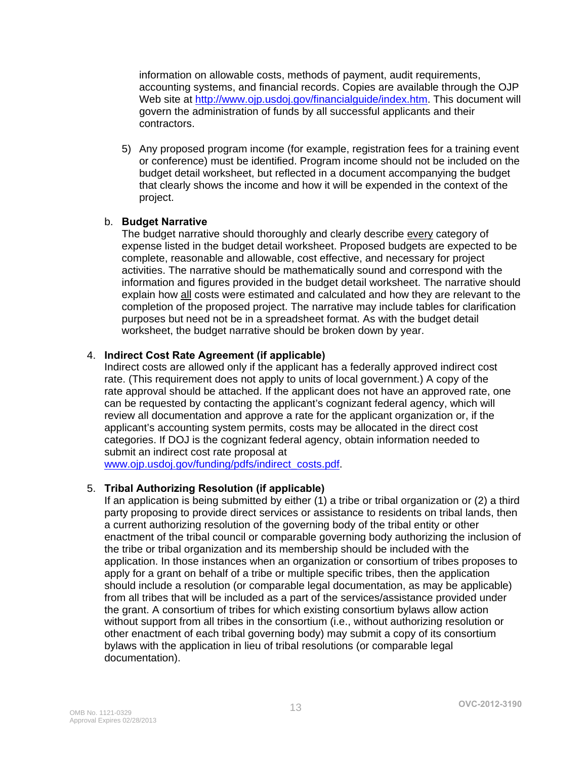information on allowable costs, methods of payment, audit requirements, accounting systems, and financial records. Copies are available through the OJP Web site at <http://www.ojp.usdoj.gov/financialguide/index.htm>. This document will govern the administration of funds by all successful applicants and their contractors.

5) Any proposed program income (for example, registration fees for a training event or conference) must be identified. Program income should not be included on the budget detail worksheet, but reflected in a document accompanying the budget that clearly shows the income and how it will be expended in the context of the project.

#### b. **Budget Narrative**

The budget narrative should thoroughly and clearly describe every category of expense listed in the budget detail worksheet. Proposed budgets are expected to be complete, reasonable and allowable, cost effective, and necessary for project activities. The narrative should be mathematically sound and correspond with the information and figures provided in the budget detail worksheet. The narrative should explain how all costs were estimated and calculated and how they are relevant to the completion of the proposed project. The narrative may include tables for clarification purposes but need not be in a spreadsheet format. As with the budget detail worksheet, the budget narrative should be broken down by year.

#### <span id="page-12-0"></span>4. **Indirect Cost Rate Agreement (if applicable)**

Indirect costs are allowed only if the applicant has a federally approved indirect cost rate. (This requirement does not apply to units of local government.) A copy of the rate approval should be attached. If the applicant does not have an approved rate, one can be requested by contacting the applicant's cognizant federal agency, which will review all documentation and approve a rate for the applicant organization or, if the applicant's accounting system permits, costs may be allocated in the direct cost categories. If DOJ is the cognizant federal agency, obtain information needed to submit an indirect cost rate proposal at

[www.ojp.usdoj.gov/funding/pdfs/indirect\\_costs.pdf](http://www.ojp.usdoj.gov/funding/pdfs/indirect_costs.pdf).

#### 5. **Tribal Authorizing Resolution (if applicable)**

If an application is being submitted by either (1) a tribe or tribal organization or (2) a third party proposing to provide direct services or assistance to residents on tribal lands, then a current authorizing resolution of the governing body of the tribal entity or other enactment of the tribal council or comparable governing body authorizing the inclusion of the tribe or tribal organization and its membership should be included with the application. In those instances when an organization or consortium of tribes proposes to apply for a grant on behalf of a tribe or multiple specific tribes, then the application should include a resolution (or comparable legal documentation, as may be applicable) from all tribes that will be included as a part of the services/assistance provided under the grant. A consortium of tribes for which existing consortium bylaws allow action without support from all tribes in the consortium (i.e., without authorizing resolution or other enactment of each tribal governing body) may submit a copy of its consortium bylaws with the application in lieu of tribal resolutions (or comparable legal documentation).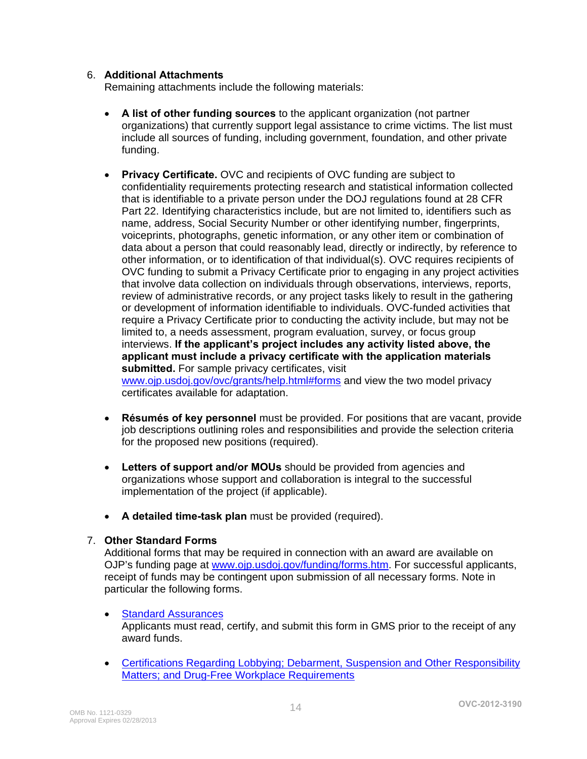#### 6. **Additional Attachments**

Remaining attachments include the following materials:

- **A list of other funding sources** to the applicant organization (not partner organizations) that currently support legal assistance to crime victims. The list must include all sources of funding, including government, foundation, and other private funding.
- **Privacy Certificate.** OVC and recipients of OVC funding are subject to confidentiality requirements protecting research and statistical information collected that is identifiable to a private person under the DOJ regulations found at 28 CFR Part 22. Identifying characteristics include, but are not limited to, identifiers such as name, address, Social Security Number or other identifying number, fingerprints, voiceprints, photographs, genetic information, or any other item or combination of data about a person that could reasonably lead, directly or indirectly, by reference to other information, or to identification of that individual(s). OVC requires recipients of OVC funding to submit a Privacy Certificate prior to engaging in any project activities that involve data collection on individuals through observations, interviews, reports, review of administrative records, or any project tasks likely to result in the gathering or development of information identifiable to individuals. OVC-funded activities that require a Privacy Certificate prior to conducting the activity include, but may not be limited to, a needs assessment, program evaluation, survey, or focus group interviews. **If the applicant's project includes any activity listed above, the applicant must include a privacy certificate with the application materials submitted.** For sample privacy certificates, visit [www.ojp.usdoj.gov/ovc/grants/help.html#forms](http://www.ojp.usdoj.gov/ovc/grants/help.html#forms) and view the two model privacy certificates available for adaptation.
- **Résumés of key personnel** must be provided. For positions that are vacant, provide job descriptions outlining roles and responsibilities and provide the selection criteria for the proposed new positions (required).
- **Letters of support and/or MOUs** should be provided from agencies and organizations whose support and collaboration is integral to the successful implementation of the project (if applicable).
- **A detailed time-task plan** must be provided (required).

#### 7. **Other Standard Forms**

Additional forms that may be required in connection with an award are available on OJP's funding page at [www.ojp.usdoj.gov/funding/forms.htm](http://www.ojp.usdoj.gov/funding/forms.htm). For successful applicants, receipt of funds may be contingent upon submission of all necessary forms. Note in particular the following forms.

#### • [Standard Assurances](http://www.ojp.usdoj.gov/funding/forms/std_assurances.pdf)

Applicants must read, certify, and submit this form in GMS prior to the receipt of any award funds.

• [Certifications Regarding Lobbying; Debarment, Suspension and Other Responsibility](http://www.ojp.usdoj.gov/funding/forms/certifications.pdf) [Matters; and Drug-Free Workplace Requirements](http://www.ojp.usdoj.gov/funding/forms/certifications.pdf)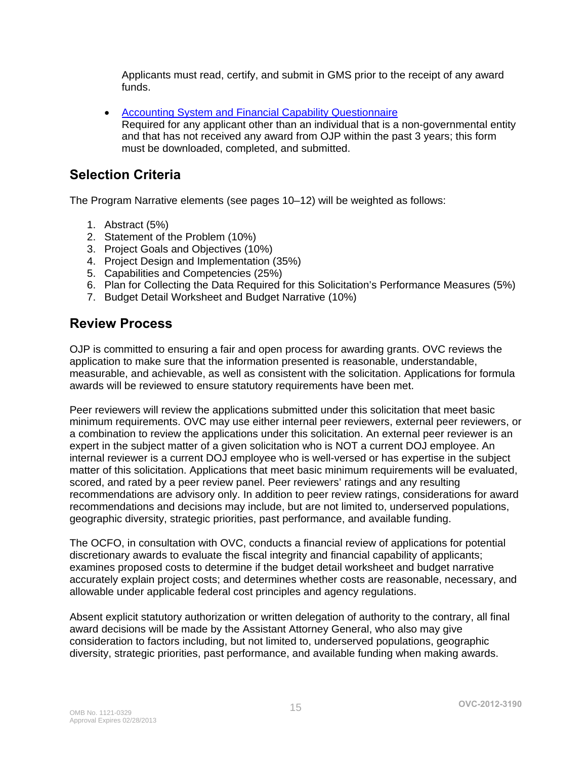Applicants must read, certify, and submit in GMS prior to the receipt of any award funds.

• [Accounting System and Financial Capability Questionnaire](http://www.ojp.usdoj.gov/funding/forms/financial_capability.pdf) Required for any applicant other than an individual that is a non-governmental entity and that has not received any award from OJP within the past 3 years; this form must be downloaded, completed, and submitted.

### <span id="page-14-0"></span>**Selection Criteria**

The Program Narrative elements (see pages 10–12) will be weighted as follows:

- 1. Abstract (5%)
- 2. Statement of the Problem (10%)
- 3. Project Goals and Objectives (10%)
- 4. Project Design and Implementation (35%)
- 5. Capabilities and Competencies (25%)
- 6. Plan for Collecting the Data Required for this Solicitation's Performance Measures (5%)
- 7. Budget Detail Worksheet and Budget Narrative (10%)

### <span id="page-14-1"></span>**Review Process**

OJP is committed to ensuring a fair and open process for awarding grants. OVC reviews the application to make sure that the information presented is reasonable, understandable, measurable, and achievable, as well as consistent with the solicitation. Applications for formula awards will be reviewed to ensure statutory requirements have been met.

Peer reviewers will review the applications submitted under this solicitation that meet basic minimum requirements. OVC may use either internal peer reviewers, external peer reviewers, or a combination to review the applications under this solicitation. An external peer reviewer is an expert in the subject matter of a given solicitation who is NOT a current DOJ employee. An internal reviewer is a current DOJ employee who is well-versed or has expertise in the subject matter of this solicitation. Applications that meet basic minimum requirements will be evaluated, scored, and rated by a peer review panel. Peer reviewers' ratings and any resulting recommendations are advisory only. In addition to peer review ratings, considerations for award recommendations and decisions may include, but are not limited to, underserved populations, geographic diversity, strategic priorities, past performance, and available funding.

The OCFO, in consultation with OVC, conducts a financial review of applications for potential discretionary awards to evaluate the fiscal integrity and financial capability of applicants; examines proposed costs to determine if the budget detail worksheet and budget narrative accurately explain project costs; and determines whether costs are reasonable, necessary, and allowable under applicable federal cost principles and agency regulations.

Absent explicit statutory authorization or written delegation of authority to the contrary, all final award decisions will be made by the Assistant Attorney General, who also may give consideration to factors including, but not limited to, underserved populations, geographic diversity, strategic priorities, past performance, and available funding when making awards.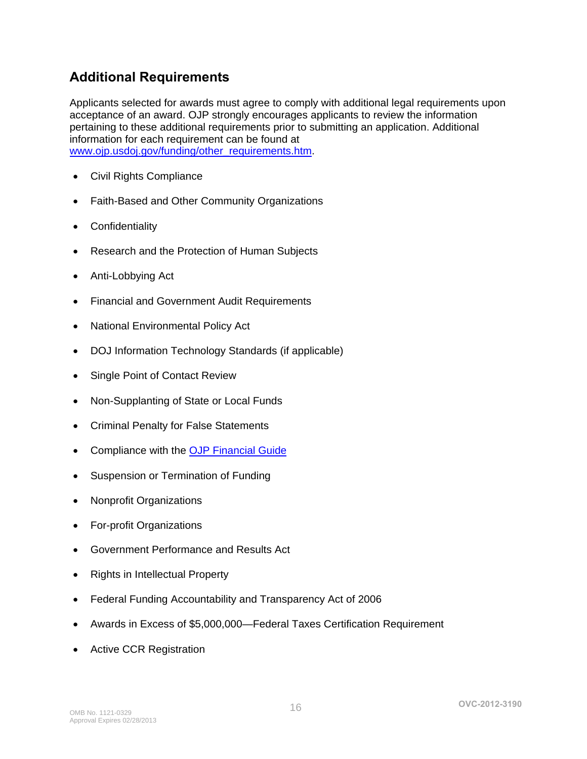# <span id="page-15-0"></span>**Additional Requirements**

Applicants selected for awards must agree to comply with additional legal requirements upon acceptance of an award. OJP strongly encourages applicants to review the information pertaining to these additional requirements prior to submitting an application. Additional information for each requirement can be found at [www.ojp.usdoj.gov/funding/other\\_requirements.htm](http://www.ojp.usdoj.gov/funding/other_requirements.htm).

- [Civil Rights Compliance](http://www.ojp.usdoj.gov/about/ocr/statutes.htm)
- Faith-Based and Other Community Organizations
- Confidentiality
- Research and the Protection of Human Subjects
- Anti-Lobbying Act
- Financial and Government Audit Requirements
- National Environmental Policy Act
- DOJ Information Technology Standards (if applicable)
- Single Point of Contact Review
- Non-Supplanting of State or Local Funds
- Criminal Penalty for False Statements
- Compliance with the [OJP Financial Guide](http://www.ojp.usdoj.gov/financialguide/index.htm)
- Suspension or Termination of Funding
- Nonprofit Organizations
- For-profit Organizations
- Government Performance and Results Act
- Rights in Intellectual Property
- Federal Funding Accountability and Transparency Act of 2006
- Awards in Excess of \$5,000,000—Federal Taxes Certification Requirement
- Active CCR Registration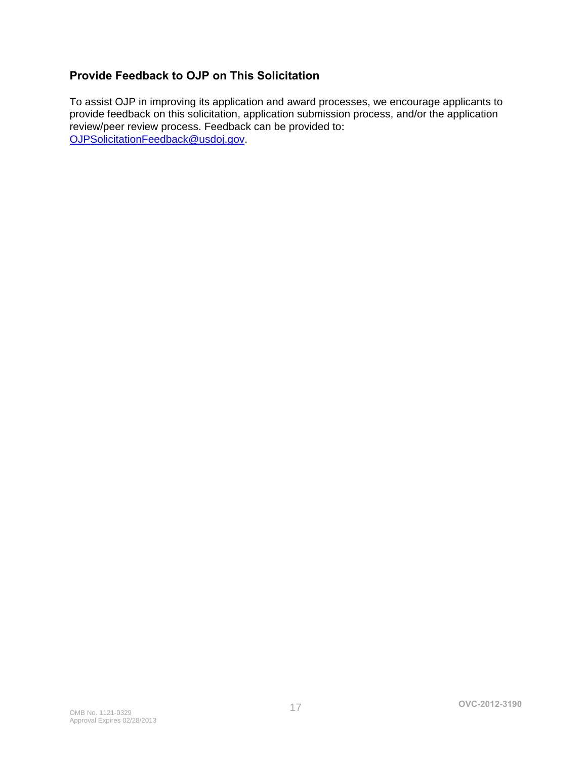### <span id="page-16-0"></span>**Provide Feedback to OJP on This Solicitation**

To assist OJP in improving its application and award processes, we encourage applicants to provide feedback on this solicitation, application submission process, and/or the application review/peer review process. Feedback can be provided to: [OJPSolicitationFeedback@usdoj.gov](mailto:OJPSolicitationFeedback@usdoj.gov).